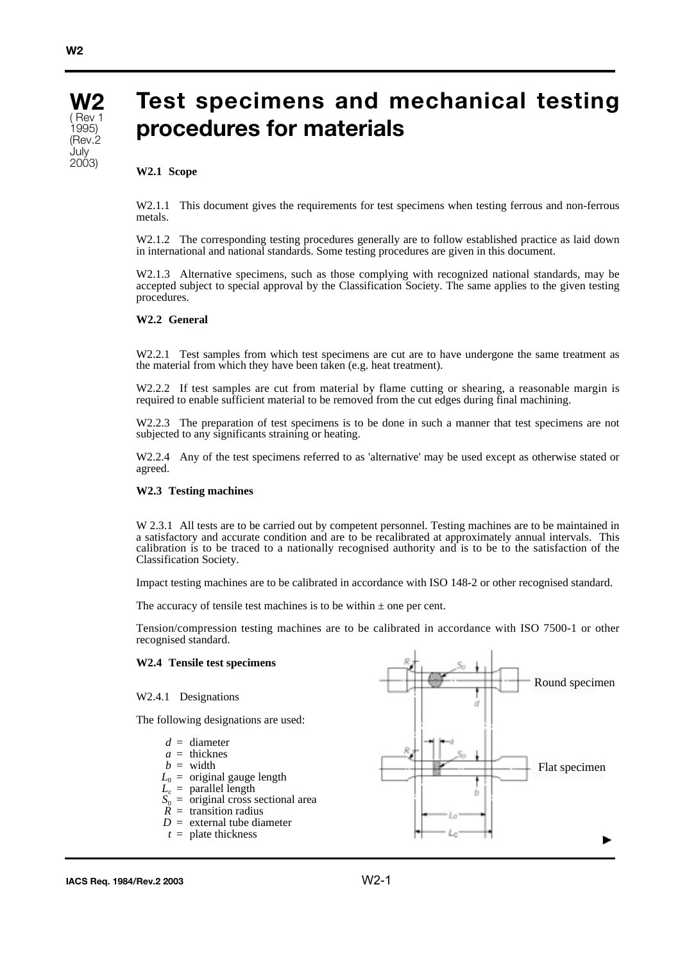

# **Test specimens and mechanical testing procedures for materials**

### **W2.1 Scope**

W2.1.1 This document gives the requirements for test specimens when testing ferrous and non-ferrous metals.

W2.1.2 The corresponding testing procedures generally are to follow established practice as laid down in international and national standards. Some testing procedures are given in this document.

W2.1.3 Alternative specimens, such as those complying with recognized national standards, may be accepted subject to special approval by the Classification Society. The same applies to the given testing procedures.

#### **W2.2 General**

W2.2.1 Test samples from which test specimens are cut are to have undergone the same treatment as the material from which they have been taken (e.g. heat treatment).

W2.2.2 If test samples are cut from material by flame cutting or shearing, a reasonable margin is required to enable sufficient material to be removed from the cut edges during final machining.

W2.2.3 The preparation of test specimens is to be done in such a manner that test specimens are not subjected to any significants straining or heating.

W2.2.4 Any of the test specimens referred to as 'alternative' may be used except as otherwise stated or agreed.

#### **W2.3 Testing machines**

W 2.3.1 All tests are to be carried out by competent personnel. Testing machines are to be maintained in a satisfactory and accurate condition and are to be recalibrated at approximately annual intervals. This calibration is to be traced to a nationally recognised authority and is to be to the satisfaction of the Classification Society.

Impact testing machines are to be calibrated in accordance with ISO 148-2 or other recognised standard.

The accuracy of tensile test machines is to be within  $\pm$  one per cent.

Tension/compression testing machines are to be calibrated in accordance with ISO 7500-1 or other recognised standard.

#### **W2.4 Tensile test specimens**

## W2.4.1 Designations

 $b = \text{width}$ 

The following designations are used:



Round specimen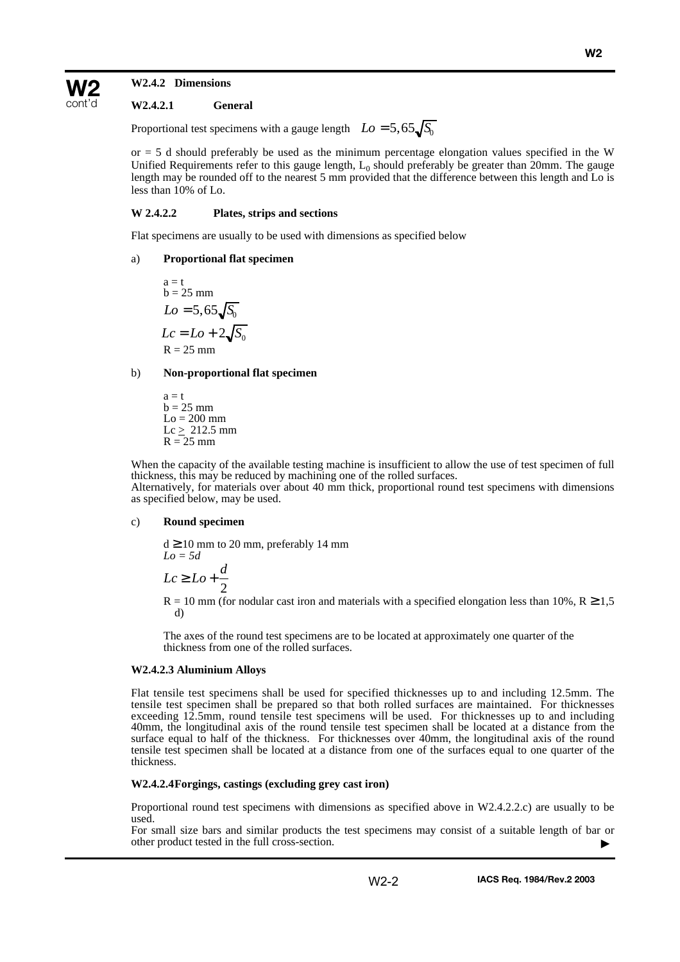## **W2.4.2 Dimensions**

**W2** cont'd

### **W2.4.2.1 General**

Proportional test specimens with a gauge length  $Lo = 5,65\sqrt{S_0}$ 

 $or = 5$  d should preferably be used as the minimum percentage elongation values specified in the W Unified Requirements refer to this gauge length,  $L_0$  should preferably be greater than 20mm. The gauge length may be rounded off to the nearest 5 mm provided that the difference between this length and Lo is less than 10% of Lo.

#### **W 2.4.2.2 Plates, strips and sections**

Flat specimens are usually to be used with dimensions as specified below

#### a) **Proportional flat specimen**

 $a = t$  $b = 25$  mm  $R = 25$  mm  $Lo = 5,65 \sqrt{S_0}$  $Lc = Lo + 2\sqrt{S_0}$ 

#### b) **Non-proportional flat specimen**

 $a = t$  $b = 25$  mm  $Lo = 200$  mm  $Lc \geq 212.5$  mm  $R = 25$  mm

When the capacity of the available testing machine is insufficient to allow the use of test specimen of full thickness, this may be reduced by machining one of the rolled surfaces. Alternatively, for materials over about 40 mm thick, proportional round test specimens with dimensions as specified below, may be used.

## c) **Round specimen**

 $d \ge 10$  mm to 20 mm, preferably 14 mm *Lo = 5d*  $Lc \geq Lo + \frac{d}{2}$ 2

 $R = 10$  mm (for nodular cast iron and materials with a specified elongation less than 10%,  $R \ge 1.5$ d)

The axes of the round test specimens are to be located at approximately one quarter of the thickness from one of the rolled surfaces.

## **W2.4.2.3 Aluminium Alloys**

Flat tensile test specimens shall be used for specified thicknesses up to and including 12.5mm. The tensile test specimen shall be prepared so that both rolled surfaces are maintained. For thicknesses exceeding 12.5mm, round tensile test specimens will be used. For thicknesses up to and including 40mm, the longitudinal axis of the round tensile test specimen shall be located at a distance from the surface equal to half of the thickness. For thicknesses over 40mm, the longitudinal axis of the round tensile test specimen shall be located at a distance from one of the surfaces equal to one quarter of the thickness.

#### **W2.4.2.4Forgings, castings (excluding grey cast iron)**

Proportional round test specimens with dimensions as specified above in W2.4.2.2.c) are usually to be used.

For small size bars and similar products the test specimens may consist of a suitable length of bar or other product tested in the full cross-section. ▲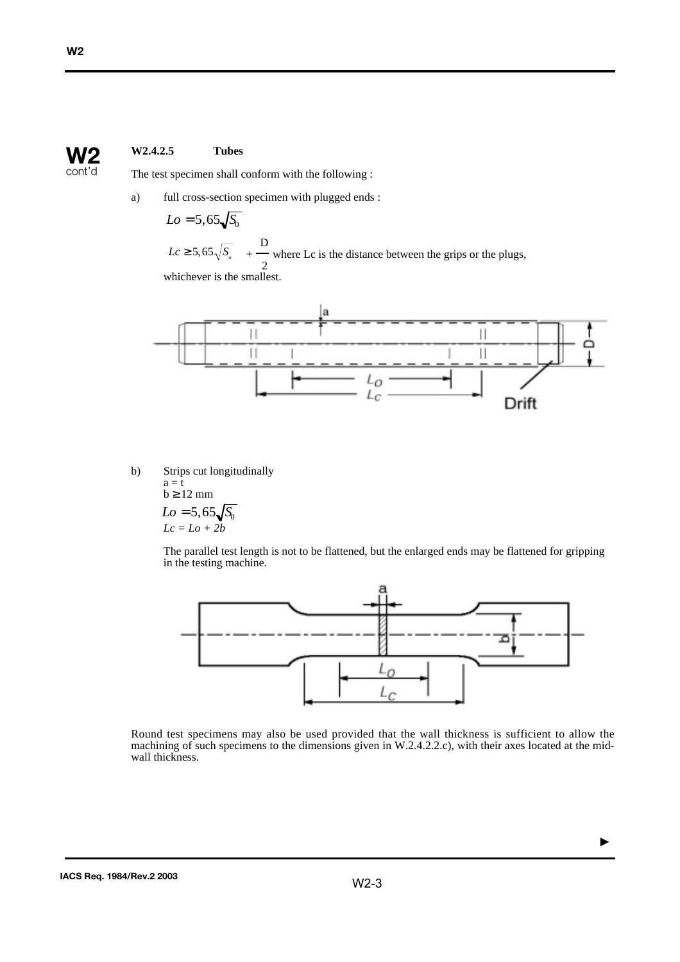## **W2.4.2.5 Tubes W2**

The test specimen shall conform with the following :

a) full cross-section specimen with plugged ends :

$$
Lo = 5,65\sqrt{S_0}
$$

D  $+$  where Lc is the distance between the grips or the plugs, 2 whichever is the smallest.  $Lc \geq 5,65\sqrt{S_{\scriptscriptstyle O}}$ 



b) Strips cut longitudinally

a = t  
b 
$$
\ge
$$
 12 mm  
 $Lo = 5,65\sqrt{S_0}$   
 $Lc = Lo + 2b$ 

The parallel test length is not to be flattened, but the enlarged ends may be flattened for gripping in the testing machine.



Round test specimens may also be used provided that the wall thickness is sufficient to allow the machining of such specimens to the dimensions given in W.2.4.2.2.c), with their axes located at the midwall thickness.

 $con$ 

 $\blacktriangleright$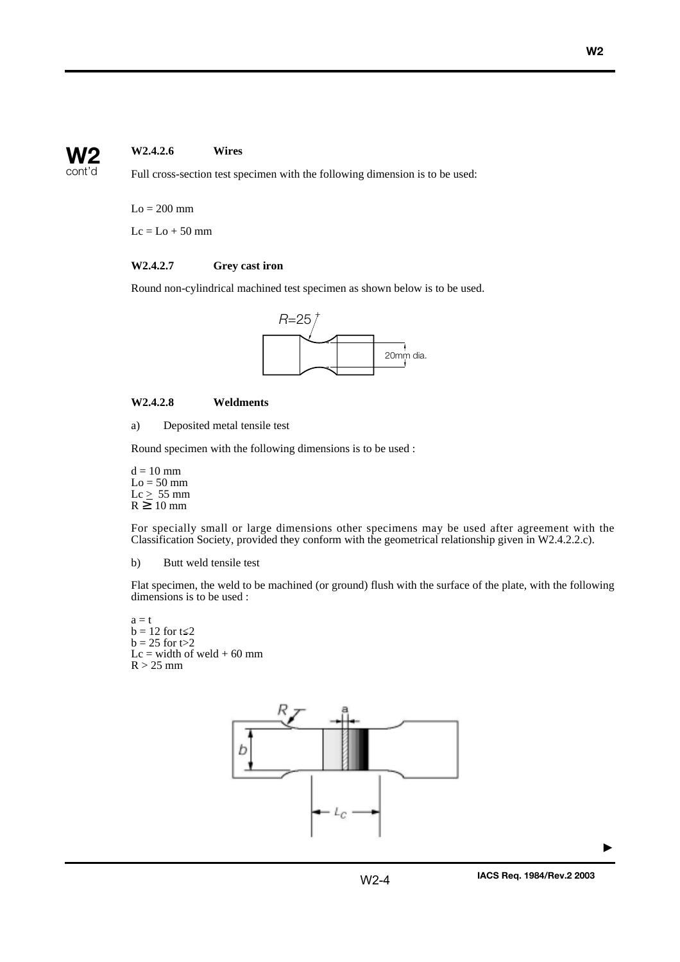## **W2.4.2.6 Wires W2**

cont'd

Full cross-section test specimen with the following dimension is to be used:

 $Lo = 200$  mm

 $Lc = Lo + 50$  mm

## **W2.4.2.7 Grey cast iron**

Round non-cylindrical machined test specimen as shown below is to be used.



## **W2.4.2.8 Weldments**

a) Deposited metal tensile test

Round specimen with the following dimensions is to be used :

 $d = 10$  mm  $Lo = 50$  mm  $Lc \geq 55$  mm  $R \geq 10$  mm

For specially small or large dimensions other specimens may be used after agreement with the Classification Society, provided they conform with the geometrical relationship given in W2.4.2.2.c).

b) Butt weld tensile test

Flat specimen, the weld to be machined (or ground) flush with the surface of the plate, with the following dimensions is to be used :

 $a = t$  $b = 12$  for  $t \le 2$  $b = 25$  for  $t > 2$  $Lc = width of  $weld + 60$  mm$  $R > 25$  mm



▲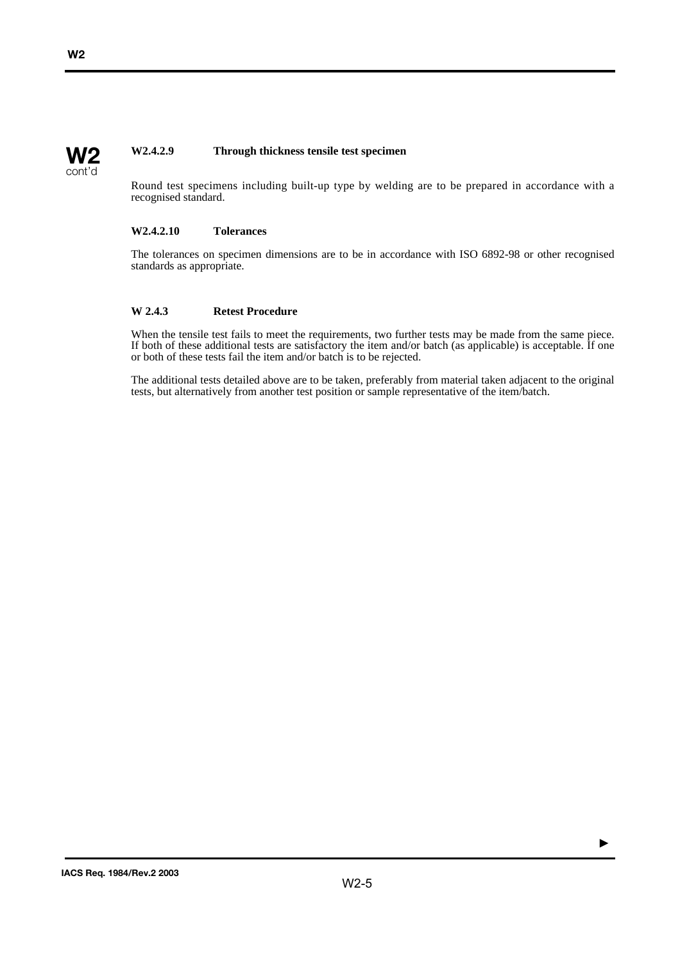#### **W2.4.2.9 Through thickness tensile test specimen W2**

Round test specimens including built-up type by welding are to be prepared in accordance with a recognised standard.

## **W2.4.2.10 Tolerances**

The tolerances on specimen dimensions are to be in accordance with ISO 6892-98 or other recognised standards as appropriate.

## **W 2.4.3 Retest Procedure**

When the tensile test fails to meet the requirements, two further tests may be made from the same piece. If both of these additional tests are satisfactory the item and/or batch (as applicable) is acceptable. If one or both of these tests fail the item and/or batch is to be rejected.

The additional tests detailed above are to be taken, preferably from material taken adjacent to the original tests, but alternatively from another test position or sample representative of the item/batch.

cont'd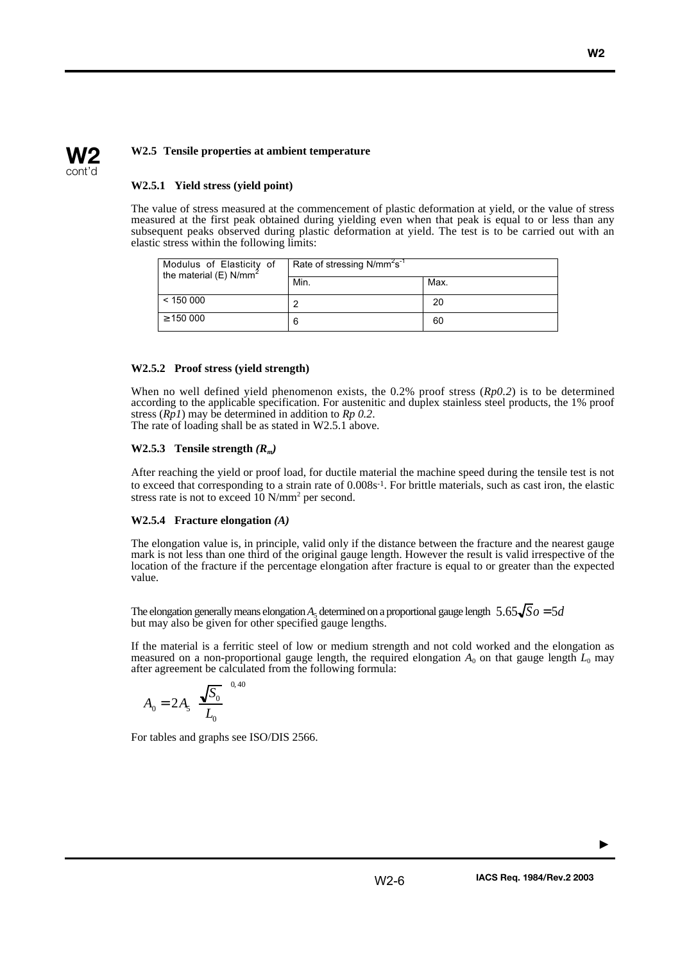## **W2** cont'd

## **W2.5 Tensile properties at ambient temperature**

## **W2.5.1 Yield stress (yield point)**

The value of stress measured at the commencement of plastic deformation at yield, or the value of stress measured at the first peak obtained during yielding even when that peak is equal to or less than any subsequent peaks observed during plastic deformation at yield. The test is to be carried out with an elastic stress within the following limits:

| Modulus of Elasticity of<br>the material (E) $N/mm^2$ | Rate of stressing N/mm <sup>2</sup> s <sup>-1</sup> |      |
|-------------------------------------------------------|-----------------------------------------------------|------|
|                                                       | Min.                                                | Max. |
| < 150000                                              |                                                     | 20   |
| $\geq$ 150 000                                        | 6                                                   | 60   |

## **W2.5.2 Proof stress (yield strength)**

When no well defined yield phenomenon exists, the 0.2% proof stress (*Rp0.2*) is to be determined according to the applicable specification. For austenitic and duplex stainless steel products, the 1% proof stress (*Rp1*) may be determined in addition to *Rp 0.2*. The rate of loading shall be as stated in W2.5.1 above.

## **W2.5.3** Tensile strength  $(R_m)$

After reaching the yield or proof load, for ductile material the machine speed during the tensile test is not to exceed that corresponding to a strain rate of 0.008s<sup>-1</sup>. For brittle materials, such as cast iron, the elastic stress rate is not to exceed 10 N/mm<sup>2</sup> per second.

## **W2.5.4 Fracture elongation** *(A)*

The elongation value is, in principle, valid only if the distance between the fracture and the nearest gauge mark is not less than one third of the original gauge length. However the result is valid irrespective of the location of the fracture if the percentage elongation after fracture is equal to or greater than the expected value.

The elongation generally means elongation  $A_5$  determined on a proportional gauge length  $5.65\sqrt{S_0} = 5d$ but may also be given for other specified gauge lengths.

If the material is a ferritic steel of low or medium strength and not cold worked and the elongation as measured on a non-proportional gauge length, the required elongation  $A_0$  on that gauge length  $L_0$  may after agreement be calculated from the following formula:

$$
A_0 = 2A_5 \left(\frac{\sqrt{S_0}}{L_0}\right)^{0.40}
$$

For tables and graphs see ISO/DIS 2566.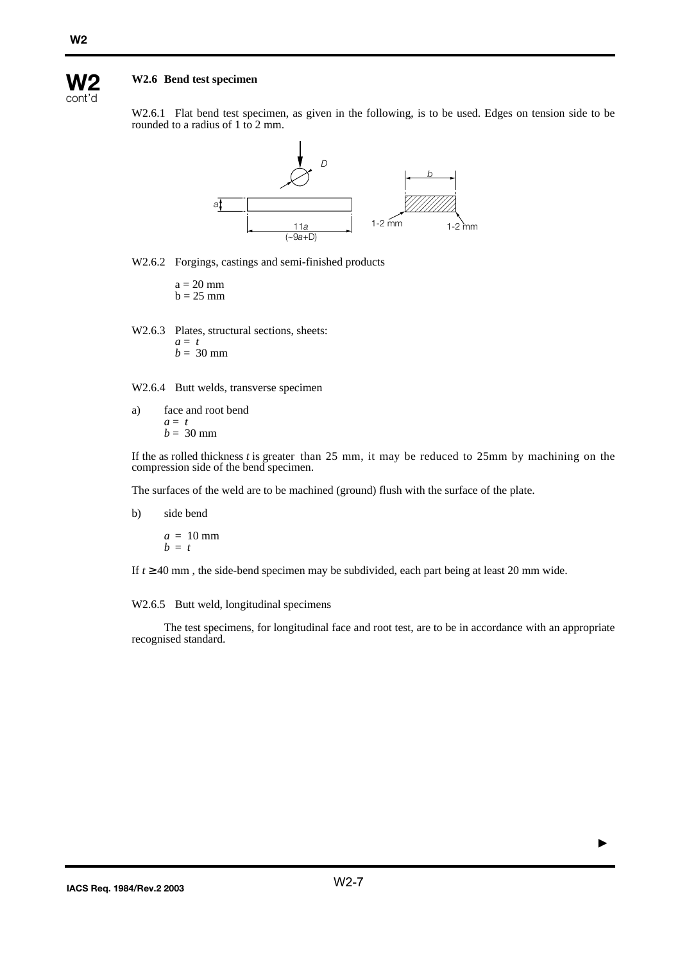

## **W2.6 Bend test specimen**

W2.6.1 Flat bend test specimen, as given in the following, is to be used. Edges on tension side to be rounded to a radius of 1 to 2 mm.



W2.6.2 Forgings, castings and semi-finished products

 $a = 20$  mm  $b = 25$  mm

W2.6.3 Plates, structural sections, sheets: *a* = *t*  $b = 30$  mm

W2.6.4 Butt welds, transverse specimen

a) face and root bend *a* = *t*  $b = 30$  mm

If the as rolled thickness *t* is greater than 25 mm, it may be reduced to 25mm by machining on the compression side of the bend specimen.

The surfaces of the weld are to be machined (ground) flush with the surface of the plate.

b) side bend

$$
\begin{array}{l}\n a = 10 \text{ mm} \\
b = t\n\end{array}
$$

If  $t \geq 40$  mm, the side-bend specimen may be subdivided, each part being at least 20 mm wide.

## W2.6.5 Butt weld, longitudinal specimens

The test specimens, for longitudinal face and root test, are to be in accordance with an appropriate recognised standard.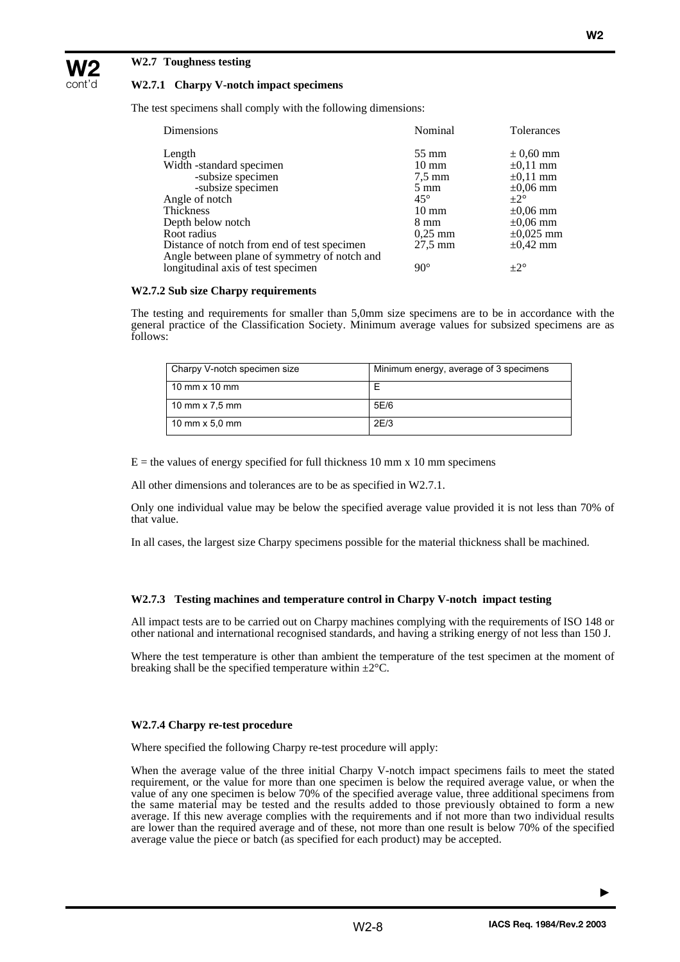## **W2.7 Toughness testing**

**W2** cont'd

## **W2.7.1 Charpy V-notch impact specimens**

The test specimens shall comply with the following dimensions:

| Dimensions                                   | Nominal           | <b>Tolerances</b> |
|----------------------------------------------|-------------------|-------------------|
| Length                                       | $55 \text{ mm}$   | $\pm 0.60$ mm     |
| Width -standard specimen                     | $10 \text{ mm}$   | $\pm 0.11$ mm     |
| -subsize specimen                            | $7.5 \text{ mm}$  | $\pm 0.11$ mm     |
| -subsize specimen                            | $5 \text{ mm}$    | $\pm 0.06$ mm     |
| Angle of notch                               | $45^{\circ}$      | $+2^\circ$        |
| Thickness                                    | $10 \text{ mm}$   | $\pm 0.06$ mm     |
| Depth below notch                            | $8 \text{ mm}$    | $\pm 0.06$ mm     |
| Root radius                                  | $0.25$ mm         | $\pm 0.025$ mm    |
| Distance of notch from end of test specimen  | $27.5 \text{ mm}$ | $\pm 0.42$ mm     |
| Angle between plane of symmetry of notch and |                   |                   |
| longitudinal axis of test specimen           | $90^\circ$        | $+2^\circ$        |

### **W2.7.2 Sub size Charpy requirements**

The testing and requirements for smaller than 5,0mm size specimens are to be in accordance with the general practice of the Classification Society. Minimum average values for subsized specimens are as follows:

| Charpy V-notch specimen size         | Minimum energy, average of 3 specimens |
|--------------------------------------|----------------------------------------|
| $10 \text{ mm} \times 10 \text{ mm}$ |                                        |
| 10 mm $\times$ 7.5 mm                | 5E/6                                   |
| 10 mm $\times$ 5.0 mm                | 2E/3                                   |

 $E =$  the values of energy specified for full thickness 10 mm x 10 mm specimens

All other dimensions and tolerances are to be as specified in W2.7.1.

Only one individual value may be below the specified average value provided it is not less than 70% of that value.

In all cases, the largest size Charpy specimens possible for the material thickness shall be machined.

### **W2.7.3 Testing machines and temperature control in Charpy V-notch impact testing**

All impact tests are to be carried out on Charpy machines complying with the requirements of ISO 148 or other national and international recognised standards, and having a striking energy of not less than 150 J.

Where the test temperature is other than ambient the temperature of the test specimen at the moment of breaking shall be the specified temperature within  $\pm 2^{\circ}$ C.

### **W2.7.4 Charpy re-test procedure**

Where specified the following Charpy re-test procedure will apply:

When the average value of the three initial Charpy V-notch impact specimens fails to meet the stated requirement, or the value for more than one specimen is below the required average value, or when the value of any one specimen is below 70% of the specified average value, three additional specimens from the same material may be tested and the results added to those previously obtained to form a new average. If this new average complies with the requirements and if not more than two individual results are lower than the required average and of these, not more than one result is below 70% of the specified average value the piece or batch (as specified for each product) may be accepted.

▲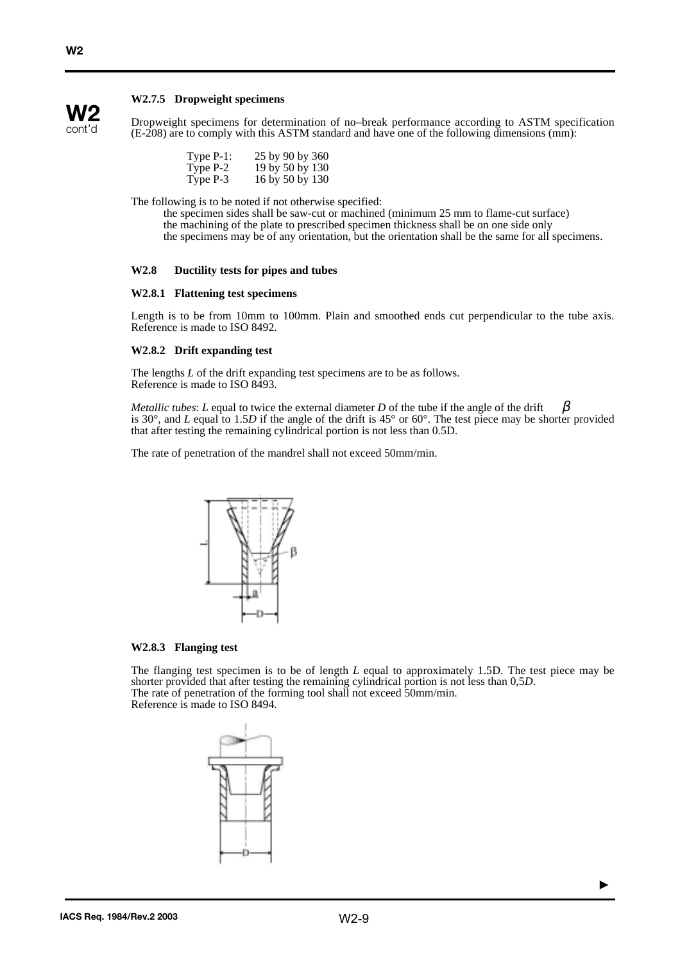## **W2.7.5 Dropweight specimens**



**W2**

Dropweight specimens for determination of no–break performance according to ASTM specification (E-208) are to comply with this ASTM standard and have one of the following dimensions (mm):

| Type $P-1$ : | 25 by 90 by 360 |
|--------------|-----------------|
| Type P-2     | 19 by 50 by 130 |
| Type P-3     | 16 by 50 by 130 |

The following is to be noted if not otherwise specified:

the specimen sides shall be saw-cut or machined (minimum 25 mm to flame-cut surface) the machining of the plate to prescribed specimen thickness shall be on one side only the specimens may be of any orientation, but the orientation shall be the same for all specimens.

## **W2.8 Ductility tests for pipes and tubes**

#### **W2.8.1 Flattening test specimens**

Length is to be from 10mm to 100mm. Plain and smoothed ends cut perpendicular to the tube axis. Reference is made to ISO 8492.

### **W2.8.2 Drift expanding test**

The lengths *L* of the drift expanding test specimens are to be as follows. Reference is made to ISO 8493.

*Metallic tubes: L* equal to twice the external diameter *D* of the tube if the angle of the drift is 30°, and *L* equal to 1.5*D* if the angle of the drift is 45° or 60°. The test piece may be shorter provided that after testing the remaining cylindrical portion is not less than 0.5D. β

The rate of penetration of the mandrel shall not exceed 50mm/min.



#### **W2.8.3 Flanging test**

The flanging test specimen is to be of length *L* equal to approximately 1.5D. The test piece may be shorter provided that after testing the remaining cylindrical portion is not less than 0,5*D*. The rate of penetration of the forming tool shall not exceed 50mm/min. Reference is made to ISO 8494.